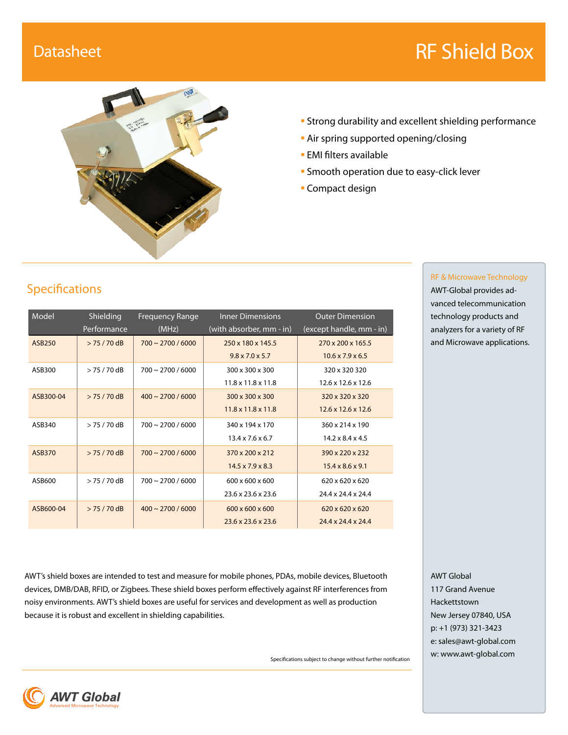# Datasheet **RF Shield Box**



- Strong durability and excellent shielding performance
- **Air spring supported opening/closing**
- **EMI filters available**
- **Smooth operation due to easy-click lever**
- Compact design

# Specifications

| Model         | Shielding      | <b>Frequency Range</b>    | <b>Inner Dimensions</b>        | <b>Outer Dimension</b>         |
|---------------|----------------|---------------------------|--------------------------------|--------------------------------|
|               | Performance    | (MHz)                     | (with absorber, mm - in)       | (except handle, mm - in)       |
| <b>ASB250</b> | $> 75 / 70$ dB | $700 \sim 2700 / 6000$    | 250 x 180 x 145.5              | 270 x 200 x 165.5              |
|               |                |                           | $9.8 \times 7.0 \times 5.7$    | $10.6 \times 7.9 \times 6.5$   |
| ASB300        | $> 75 / 70$ dB | $700 \sim 2700 / 6000$    | 300 x 300 x 300                | 320 x 320 320                  |
|               |                |                           | $11.8 \times 11.8 \times 11.8$ | $12.6 \times 12.6 \times 12.6$ |
| ASB300-04     | $> 75 / 70$ dB | $400 \approx 2700 / 6000$ | 300 x 300 x 300                | 320 x 320 x 320                |
|               |                |                           | $11.8 \times 11.8 \times 11.8$ | $12.6 \times 12.6 \times 12.6$ |
| ASB340        | $> 75 / 70$ dB | $700 \sim 2700 / 6000$    | 340 x 194 x 170                | 360 x 214 x 190                |
|               |                |                           | $13.4 \times 7.6 \times 6.7$   | $14.2 \times 8.4 \times 4.5$   |
| ASB370        | $> 75 / 70$ dB | $700 \approx 2700 / 6000$ | 370 x 200 x 212                | 390 x 220 x 232                |
|               |                |                           | $14.5 \times 7.9 \times 8.3$   | $15.4 \times 8.6 \times 9.1$   |
| ASB600        | $> 75 / 70$ dB | $700 \approx 2700 / 6000$ | $600 \times 600 \times 600$    | $620 \times 620 \times 620$    |
|               |                |                           | $23.6 \times 23.6 \times 23.6$ | 24.4 x 24.4 x 24.4             |
| ASB600-04     | $> 75 / 70$ dB | $400 \approx 2700 / 6000$ | $600 \times 600 \times 600$    | $620 \times 620 \times 620$    |
|               |                |                           | $23.6 \times 23.6 \times 23.6$ | $24.4 \times 24.4 \times 24.4$ |

#### RF & Microwave Technology AWT-Global provides ad-

vanced telecommunication technology products and analyzers for a variety of RF and Microwave applications.

AWT's shield boxes are intended to test and measure for mobile phones, PDAs, mobile devices, Bluetooth devices, DMB/DAB, RFID, or Zigbees. These shield boxes perform effectively against RF interferences from noisy environments. AWT's shield boxes are useful for services and development as well as production because it is robust and excellent in shielding capabilities.

Specifications subject to change without further notification

AWT Global 117 Grand Avenue Hackettstown New Jersey 07840, USA p: +1 (973) 321-3423 e: sales@awt-global.com w: www.awt-global.com